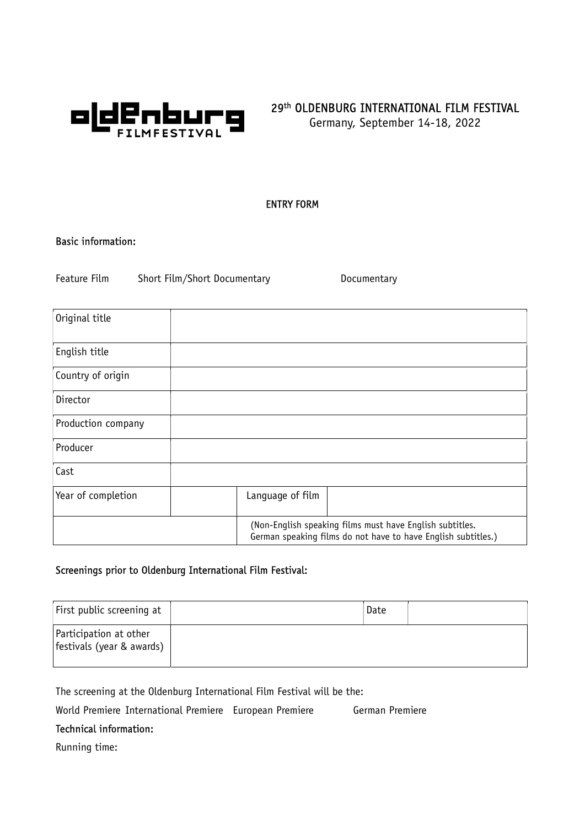

# 29th OLDENBURG INTERNATIONAL FILM FESTIVAL

Germany, September 14-18, 2022

# ENTRY FORM

## Basic information:

Feature Film Short Film/Short Documentary Documentary

| Original title     |                                                                                                                           |
|--------------------|---------------------------------------------------------------------------------------------------------------------------|
| English title      |                                                                                                                           |
| Country of origin  |                                                                                                                           |
| Director           |                                                                                                                           |
| Production company |                                                                                                                           |
| Producer           |                                                                                                                           |
| Cast               |                                                                                                                           |
| Year of completion | Language of film                                                                                                          |
|                    | (Non-English speaking films must have English subtitles.<br>German speaking films do not have to have English subtitles.) |

# Screenings prior to Oldenburg International Film Festival:

| First public screening at                           | Date |  |
|-----------------------------------------------------|------|--|
| Participation at other<br>festivals (year & awards) |      |  |

The screening at the Oldenburg International Film Festival will be the:

World Premiere International Premiere European Premiere German Premiere

# Technical information:

Running time: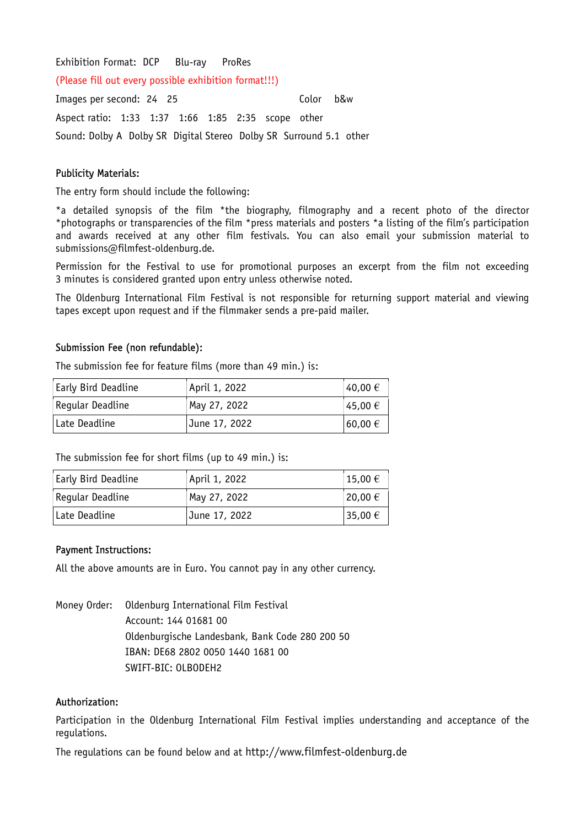### Exhibition Format: DCP Blu-ray ProRes

(Please fill out every possible exhibition format!!!)

Images per second: 24 25 Color b&w Aspect ratio: 1:33 1:37 1:66 1:85 2:35 scope other Sound: Dolby A Dolby SR Digital Stereo Dolby SR Surround 5.1 other

#### Publicity Materials:

The entry form should include the following:

\*a detailed synopsis of the film \*the biography, filmography and a recent photo of the director \*photographs or transparencies of the film \*press materials and posters \*a listing of the film's participation and awards received at any other film festivals. You can also email your submission material to submissions@filmfest-oldenburg.de.

Permission for the Festival to use for promotional purposes an excerpt from the film not exceeding 3 minutes is considered granted upon entry unless otherwise noted.

The Oldenburg International Film Festival is not responsible for returning support material and viewing tapes except upon request and if the filmmaker sends a pre-paid mailer.

#### Submission Fee (non refundable):

The submission fee for feature films (more than 49 min.) is:

| <b>Early Bird Deadline</b> | April 1, 2022 | $40,00 \in$ |
|----------------------------|---------------|-------------|
| Reqular Deadline           | May 27, 2022  | $45,00 \in$ |
| Late Deadline              | June 17, 2022 | 60,00 €     |

The submission fee for short films (up to 49 min.) is:

| <b>Early Bird Deadline</b> | April 1, 2022 | 15,00 $\in$ |
|----------------------------|---------------|-------------|
| Regular Deadline           | May 27, 2022  | $20,00 \in$ |
| ∣Late Deadline             | June 17, 2022 | 35,00 €     |

#### Payment Instructions:

All the above amounts are in Euro. You cannot pay in any other currency.

Money Order: Oldenburg International Film Festival Account: 144 01681 00 Oldenburgische Landesbank, Bank Code 280 200 50 IBAN: DE68 2802 0050 1440 1681 00 SWIFT-BIC: OLBODEH2

#### Authorization:

Participation in the Oldenburg International Film Festival implies understanding and acceptance of the regulations.

The regulations can be found below and at http://www.filmfest-oldenburg.de